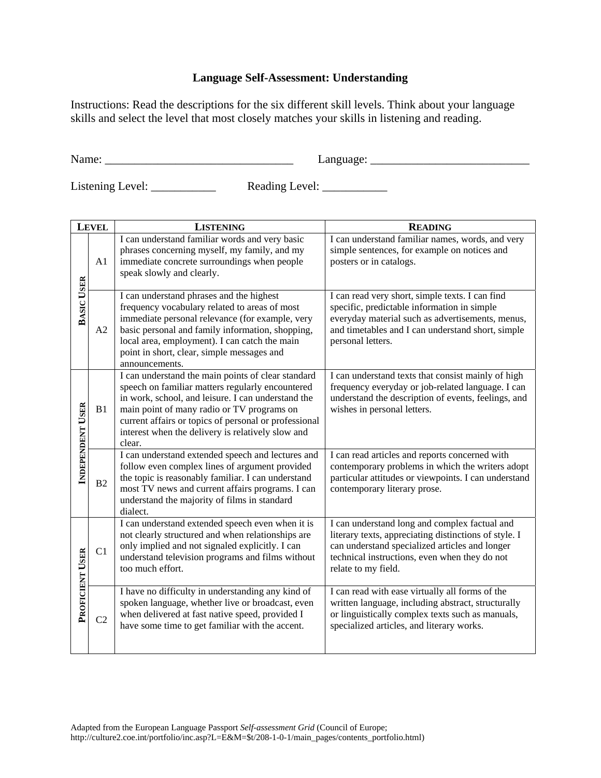## **Language Self-Assessment: Understanding**

Instructions: Read the descriptions for the six different skill levels. Think about your language skills and select the level that most closely matches your skills in listening and reading.

Name: \_\_\_\_\_\_\_\_\_\_\_\_\_\_\_\_\_\_\_\_\_\_\_\_\_\_\_\_\_\_\_\_ Language: \_\_\_\_\_\_\_\_\_\_\_\_\_\_\_\_\_\_\_\_\_\_\_\_\_\_\_

 $\text{Reading Level:}$ 

| <b>LEVEL</b>      |                | <b>LISTENING</b>                                                                                                                                                                                                                                                                                                                   | <b>READING</b>                                                                                                                                                                                                                   |  |
|-------------------|----------------|------------------------------------------------------------------------------------------------------------------------------------------------------------------------------------------------------------------------------------------------------------------------------------------------------------------------------------|----------------------------------------------------------------------------------------------------------------------------------------------------------------------------------------------------------------------------------|--|
|                   | A1             | I can understand familiar words and very basic<br>phrases concerning myself, my family, and my<br>immediate concrete surroundings when people<br>speak slowly and clearly.                                                                                                                                                         | I can understand familiar names, words, and very<br>simple sentences, for example on notices and<br>posters or in catalogs.                                                                                                      |  |
| <b>BASIC USER</b> | A2             | I can understand phrases and the highest<br>frequency vocabulary related to areas of most<br>immediate personal relevance (for example, very<br>basic personal and family information, shopping,<br>local area, employment). I can catch the main<br>point in short, clear, simple messages and<br>announcements.                  | I can read very short, simple texts. I can find<br>specific, predictable information in simple<br>everyday material such as advertisements, menus,<br>and timetables and I can understand short, simple<br>personal letters.     |  |
| INDEPENDENT USER  | B1             | I can understand the main points of clear standard<br>speech on familiar matters regularly encountered<br>in work, school, and leisure. I can understand the<br>main point of many radio or TV programs on<br>current affairs or topics of personal or professional<br>interest when the delivery is relatively slow and<br>clear. | I can understand texts that consist mainly of high<br>frequency everyday or job-related language. I can<br>understand the description of events, feelings, and<br>wishes in personal letters.                                    |  |
|                   | B2             | I can understand extended speech and lectures and<br>follow even complex lines of argument provided<br>the topic is reasonably familiar. I can understand<br>most TV news and current affairs programs. I can<br>understand the majority of films in standard<br>dialect.                                                          | I can read articles and reports concerned with<br>contemporary problems in which the writers adopt<br>particular attitudes or viewpoints. I can understand<br>contemporary literary prose.                                       |  |
| PROFICIENT USER   | C1             | I can understand extended speech even when it is<br>not clearly structured and when relationships are<br>only implied and not signaled explicitly. I can<br>understand television programs and films without<br>too much effort.                                                                                                   | I can understand long and complex factual and<br>literary texts, appreciating distinctions of style. I<br>can understand specialized articles and longer<br>technical instructions, even when they do not<br>relate to my field. |  |
|                   | C <sub>2</sub> | I have no difficulty in understanding any kind of<br>spoken language, whether live or broadcast, even<br>when delivered at fast native speed, provided I<br>have some time to get familiar with the accent.                                                                                                                        | I can read with ease virtually all forms of the<br>written language, including abstract, structurally<br>or linguistically complex texts such as manuals,<br>specialized articles, and literary works.                           |  |